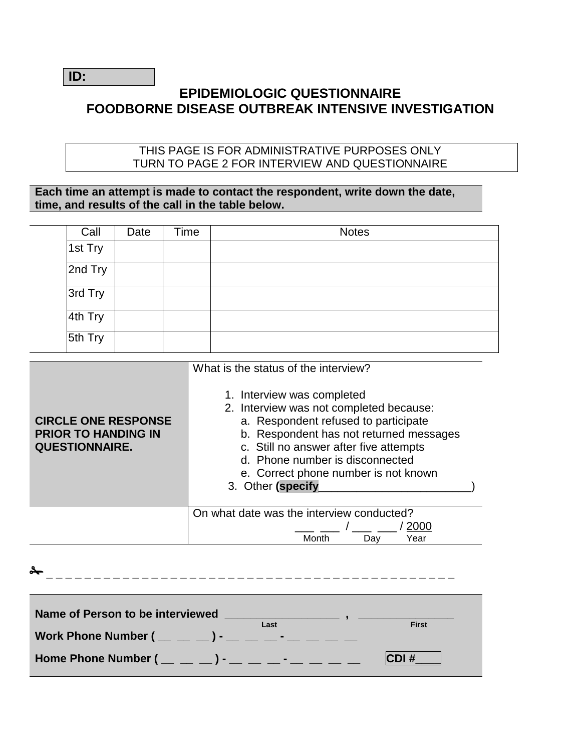**ID:** 

## **EPIDEMIOLOGIC QUESTIONNAIRE FOODBORNE DISEASE OUTBREAK INTENSIVE INVESTIGATION**

#### THIS PAGE IS FOR ADMINISTRATIVE PURPOSES ONLY TURN TO PAGE 2 FOR INTERVIEW AND QUESTIONNAIRE

**Each time an attempt is made to contact the respondent, write down the date, time, and results of the call in the table below.** 

| Call    | Date | Time | <b>Notes</b> |
|---------|------|------|--------------|
| 1st Try |      |      |              |
| 2nd Try |      |      |              |
| 3rd Try |      |      |              |
| 4th Try |      |      |              |
| 5th Try |      |      |              |

|                                                                                   | What is the status of the interview?<br>1. Interview was completed                                                                                                                                                                                                   |  |  |  |  |
|-----------------------------------------------------------------------------------|----------------------------------------------------------------------------------------------------------------------------------------------------------------------------------------------------------------------------------------------------------------------|--|--|--|--|
| <b>CIRCLE ONE RESPONSE</b><br><b>PRIOR TO HANDING IN</b><br><b>QUESTIONNAIRE.</b> | 2. Interview was not completed because:<br>a. Respondent refused to participate<br>b. Respondent has not returned messages<br>c. Still no answer after five attempts<br>d. Phone number is disconnected<br>e. Correct phone number is not known<br>3. Other (specify |  |  |  |  |
|                                                                                   | On what date was the interview conducted?<br>2000<br>Month<br>Day<br>Year                                                                                                                                                                                            |  |  |  |  |

| Name of Person to be interviewed<br>Last<br>Work Phone Number $($ _ _ _ _ _ _ _ _ _ _ _ _ _ _ _ _ | <b>First</b> |
|---------------------------------------------------------------------------------------------------|--------------|
| Home Phone Number $($ _ _ _ _ _ ) - _ _ _ _ - _ _ _ _ _                                           | CDI#         |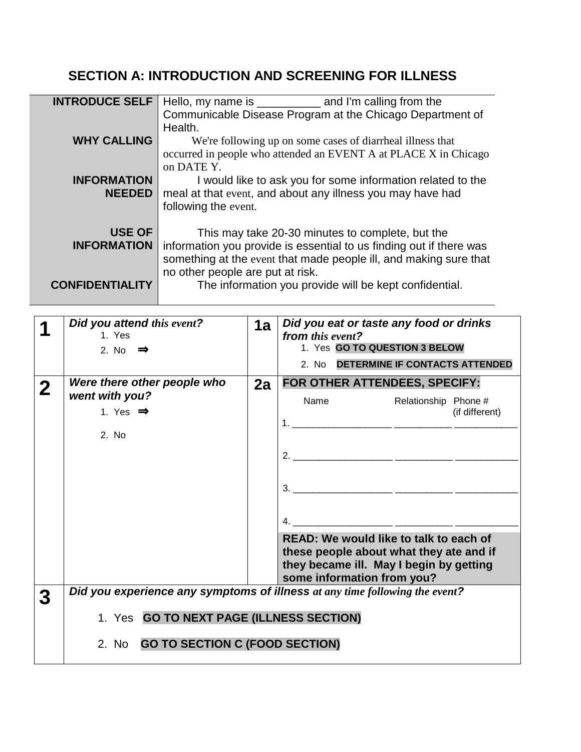# **SECTION A: INTRODUCTION AND SCREENING FOR ILLNESS**

| <b>INTRODUCE SELF</b>  |                                                                     |
|------------------------|---------------------------------------------------------------------|
|                        | Communicable Disease Program at the Chicago Department of           |
|                        | Health.                                                             |
| <b>WHY CALLING</b>     | We're following up on some cases of diarrheal illness that          |
|                        | occurred in people who attended an EVENT A at PLACE X in Chicago    |
|                        | on DATE Y.                                                          |
| <b>INFORMATION</b>     | I would like to ask you for some information related to the         |
| <b>NEEDED</b>          | meal at that event, and about any illness you may have had          |
|                        | following the event.                                                |
|                        |                                                                     |
| <b>USE OF</b>          | This may take 20-30 minutes to complete, but the                    |
| <b>INFORMATION</b>     | information you provide is essential to us finding out if there was |
|                        | something at the event that made people ill, and making sure that   |
|                        |                                                                     |
|                        | no other people are put at risk.                                    |
| <b>CONFIDENTIALITY</b> | The information you provide will be kept confidential.              |
|                        |                                                                     |

| Did you attend this event?<br>1. Yes<br>2. No $\Rightarrow$                                                                                                     | 1a | Did you eat or taste any food or drinks<br>from this event?<br>1. Yes GO TO QUESTION 3 BELOW<br>2. No DETERMINE IF CONTACTS ATTENDED                       |  |  |  |  |  |  |
|-----------------------------------------------------------------------------------------------------------------------------------------------------------------|----|------------------------------------------------------------------------------------------------------------------------------------------------------------|--|--|--|--|--|--|
| Were there other people who<br>went with you?<br>1. Yes $\Rightarrow$<br>2. No                                                                                  | 2a | FOR OTHER ATTENDEES, SPECIFY:<br>Name<br>Relationship Phone #<br>(if different)                                                                            |  |  |  |  |  |  |
|                                                                                                                                                                 |    | READ: We would like to talk to each of<br>these people about what they ate and if<br>they became ill. May I begin by getting<br>some information from you? |  |  |  |  |  |  |
| Did you experience any symptoms of illness at any time following the event?<br>1. Yes GO TO NEXT PAGE (ILLNESS SECTION)<br>2. No GO TO SECTION C (FOOD SECTION) |    |                                                                                                                                                            |  |  |  |  |  |  |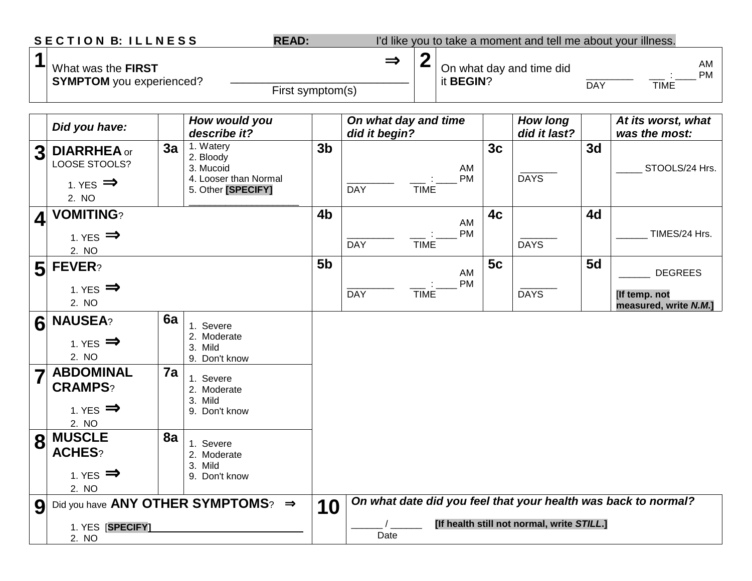|                         | <b>SECTION B: ILLNESS</b>                                       |    | <b>READ:</b>                                            |                |                                       |             |                                                           |                | I'd like you to take a moment and tell me about your illness. |                                       |                                                                |
|-------------------------|-----------------------------------------------------------------|----|---------------------------------------------------------|----------------|---------------------------------------|-------------|-----------------------------------------------------------|----------------|---------------------------------------------------------------|---------------------------------------|----------------------------------------------------------------|
| 1                       | What was the FIRST<br><b>SYMPTOM</b> you experienced?           |    |                                                         |                | $\Rightarrow$<br>First symptom(s)     |             | $\boldsymbol{2}$<br>On what day and time did<br>it BEGIN? |                |                                                               | AM<br>PM<br><b>TIME</b><br><b>DAY</b> |                                                                |
|                         | Did you have:                                                   |    | How would you<br>describe it?                           |                | On what day and time<br>did it begin? |             |                                                           |                | <b>How long</b><br>did it last?                               |                                       | At its worst, what<br>was the most:                            |
| 3 <sub>l</sub>          | <b>DIARRHEA</b> or<br>LOOSE STOOLS?                             | 3a | 1. Watery<br>2. Bloody<br>3. Mucoid                     | 3 <sub>b</sub> |                                       |             | AM                                                        | 3 <sub>c</sub> |                                                               | 3 <sub>d</sub>                        | STOOLS/24 Hrs.                                                 |
|                         | 1. YES $\implies$<br>2. NO                                      |    | 4. Looser than Normal<br>5. Other [SPECIFY]             |                | <b>DAY</b>                            | <b>TIME</b> | <b>PM</b>                                                 |                | <b>DAYS</b>                                                   |                                       |                                                                |
| $\overline{\mathbf{4}}$ | <b>VOMITING?</b><br>1. YES $\implies$                           |    |                                                         | 4 <sub>b</sub> | <b>DAY</b>                            | <b>TIME</b> | AM<br>PM                                                  | 4 <sub>c</sub> | <b>DAYS</b>                                                   | 4d                                    | TIMES/24 Hrs.                                                  |
| 5 <sub>l</sub>          | 2. NO<br>FEVER?                                                 |    |                                                         | 5 <sub>b</sub> |                                       |             | AM<br><b>PM</b>                                           | 5c             |                                                               | 5d                                    | <b>DEGREES</b>                                                 |
|                         | 1. YES $\implies$<br>2. NO                                      |    |                                                         |                | <b>DAY</b>                            | <b>TIME</b> |                                                           |                | <b>DAYS</b>                                                   |                                       | [If temp. not<br>measured, write N.M.]                         |
| 6                       | <b>NAUSEA?</b><br>1. YES $\Rightarrow$<br>2. NO                 | 6a | 1. Severe<br>2. Moderate<br>3. Mild<br>9. Don't know    |                |                                       |             |                                                           |                |                                                               |                                       |                                                                |
| $\overline{\mathbf{7}}$ | <b>ABDOMINAL</b><br><b>CRAMPS?</b><br>1. YES $\Rightarrow$      | 7a | 1. Severe<br>2. Moderate<br>3.<br>Mild<br>9. Don't know |                |                                       |             |                                                           |                |                                                               |                                       |                                                                |
| 8                       | 2. NO<br><b>MUSCLE</b><br><b>ACHES?</b><br>1. YES $\Rightarrow$ | 8a | 1. Severe<br>2. Moderate<br>3. Mild<br>9. Don't know    |                |                                       |             |                                                           |                |                                                               |                                       |                                                                |
| 9                       | 2. NO                                                           |    | Did you have ANY OTHER SYMPTOMS? $\Rightarrow$          | 10             |                                       |             |                                                           |                |                                                               |                                       | On what date did you feel that your health was back to normal? |
|                         | 1. YES [SPECIFY]<br>2. NO                                       |    |                                                         |                | Date                                  |             |                                                           |                | [If health still not normal, write STILL.]                    |                                       |                                                                |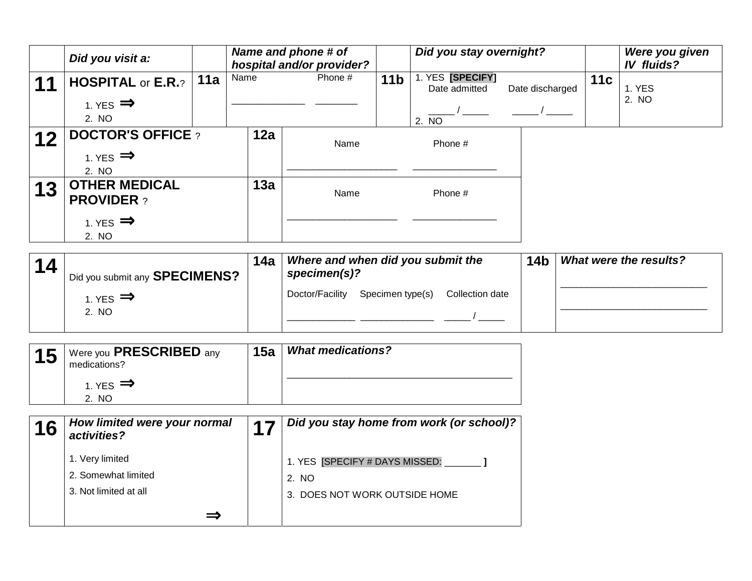|                                                                                       | Did you visit a:                                                       |     |      | Name and phone # of<br>hospital and/or provider? |                 | Did you stay overnight?                    |                 |     | Were you given<br><b>IV fluids?</b> |
|---------------------------------------------------------------------------------------|------------------------------------------------------------------------|-----|------|--------------------------------------------------|-----------------|--------------------------------------------|-----------------|-----|-------------------------------------|
| 11                                                                                    | <b>HOSPITAL or E.R.?</b><br>1. YES $\implies$<br>2. NO                 | 11a | Name | Phone #                                          | 11 <sub>b</sub> | 1. YES [SPECIFY]<br>Date admitted<br>2. NO | Date discharged | 11c | 1. YES<br>2. NO                     |
| 12                                                                                    | <b>DOCTOR'S OFFICE?</b><br>1. YES $\Rightarrow$<br>2. NO               |     | 12a  | Name                                             |                 | Phone #                                    |                 |     |                                     |
| 13                                                                                    | <b>OTHER MEDICAL</b><br><b>PROVIDER?</b><br>1. YES $\implies$<br>2. NO |     | 13a  | Name                                             |                 | Phone #                                    |                 |     |                                     |
| Where and when did you submit the<br>14a<br>14<br>$conacim\alpha(12)$<br>ARPAILIPLIAA |                                                                        |     |      |                                                  |                 |                                            | 14 <sub>b</sub> |     | <b>What were the results?</b>       |

| 14 | I Did you submit any SPECIMENS? | I та | specimen(s)?                                           | שיר ו |  |  |
|----|---------------------------------|------|--------------------------------------------------------|-------|--|--|
|    | 1. YES $\implies$               |      | Specimen type(s)<br>Doctor/Facility<br>Collection date |       |  |  |
|    | 2. NO                           |      |                                                        |       |  |  |

| 15 | Were you PRESCRIBED any<br>medications? | 15a | <b>What medications?</b> |
|----|-----------------------------------------|-----|--------------------------|
|    | 1. YES $\implies$<br>-NO                |     |                          |

| 16 | How limited were your normal<br>activities?                     | Did you stay home from work (or school)?                                 |
|----|-----------------------------------------------------------------|--------------------------------------------------------------------------|
|    | 1. Very limited<br>2. Somewhat limited<br>3. Not limited at all | 1. YES [SPECIFY # DAYS MISSED:<br>2. NO<br>3. DOES NOT WORK OUTSIDE HOME |
|    |                                                                 |                                                                          |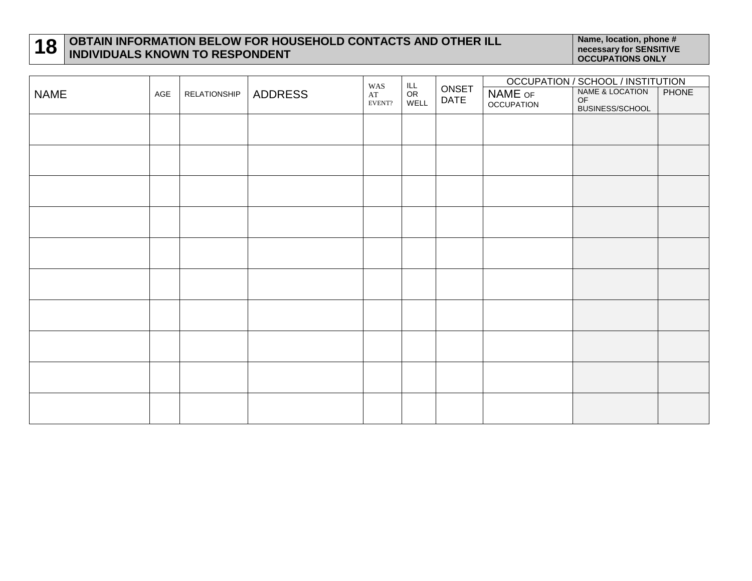## **18 OBTAIN INFORMATION BELOW FOR HOUSEHOLD CONTACTS AND OTHER ILL INDIVIDUALS KNOWN TO RESPONDENT Name, location, phone # Name, location, phone # necessary for SENSITIVE And A Name, location, phone # necessary for SENSITIVE<br>The contract of the contract of the contract of the contract of the contract of the contract on**

|             |     | <b>RELATIONSHIP</b> | ADDRESS | WAS<br>$\mathbf{A}\mathbf{T}$<br>EVENT? | $L$<br>OR<br>WELL |                      | OCCUPATION / SCHOOL / INSTITUTION   |                                          |              |  |
|-------------|-----|---------------------|---------|-----------------------------------------|-------------------|----------------------|-------------------------------------|------------------------------------------|--------------|--|
| <b>NAME</b> | AGE |                     |         |                                         |                   | ONSET<br><b>DATE</b> | <b>NAME OF</b><br><b>OCCUPATION</b> | NAME & LOCATION<br>OF<br>BUSINESS/SCHOOL | <b>PHONE</b> |  |
|             |     |                     |         |                                         |                   |                      |                                     |                                          |              |  |
|             |     |                     |         |                                         |                   |                      |                                     |                                          |              |  |
|             |     |                     |         |                                         |                   |                      |                                     |                                          |              |  |
|             |     |                     |         |                                         |                   |                      |                                     |                                          |              |  |
|             |     |                     |         |                                         |                   |                      |                                     |                                          |              |  |
|             |     |                     |         |                                         |                   |                      |                                     |                                          |              |  |
|             |     |                     |         |                                         |                   |                      |                                     |                                          |              |  |
|             |     |                     |         |                                         |                   |                      |                                     |                                          |              |  |
|             |     |                     |         |                                         |                   |                      |                                     |                                          |              |  |
|             |     |                     |         |                                         |                   |                      |                                     |                                          |              |  |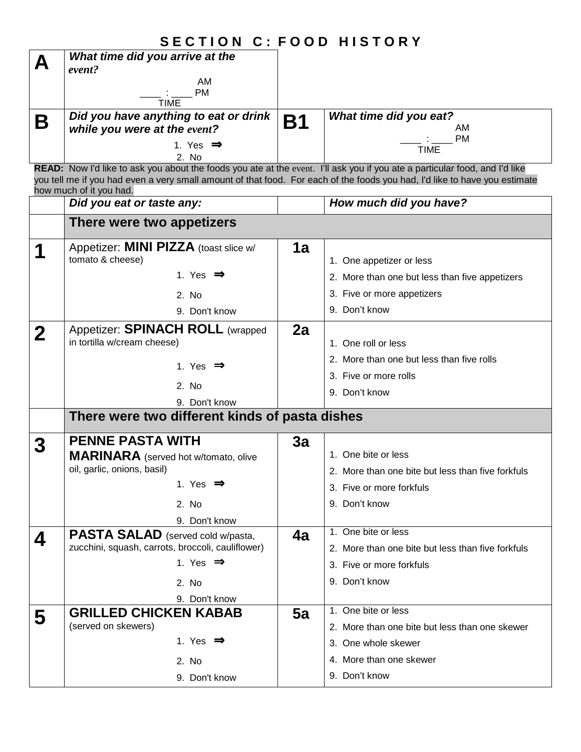|              | <b>SECTION C: FOOD HISTORY</b>                                                                                                       |           |                                                                                                                            |
|--------------|--------------------------------------------------------------------------------------------------------------------------------------|-----------|----------------------------------------------------------------------------------------------------------------------------|
| А            | What time did you arrive at the                                                                                                      |           |                                                                                                                            |
|              | event?                                                                                                                               |           |                                                                                                                            |
|              | AM<br>PM                                                                                                                             |           |                                                                                                                            |
|              | – : ——<br>TIME                                                                                                                       |           |                                                                                                                            |
| Β            | Did you have anything to eat or drink                                                                                                | <b>B1</b> | What time did you eat?                                                                                                     |
|              | while you were at the event?                                                                                                         |           | AM<br><b>PM</b>                                                                                                            |
|              | 1. Yes $\Rightarrow$                                                                                                                 |           | <b>TIME</b>                                                                                                                |
|              | 2. No<br>READ: Now I'd like to ask you about the foods you ate at the event. I'll ask you if you ate a particular food, and I'd like |           |                                                                                                                            |
|              |                                                                                                                                      |           | you tell me if you had even a very small amount of that food. For each of the foods you had, I'd like to have you estimate |
|              | how much of it you had.                                                                                                              |           |                                                                                                                            |
|              | Did you eat or taste any:                                                                                                            |           | How much did you have?                                                                                                     |
|              | There were two appetizers                                                                                                            |           |                                                                                                                            |
|              | Appetizer: <b>MINI PIZZA</b> (toast slice w/                                                                                         | 1a        |                                                                                                                            |
|              | tomato & cheese)                                                                                                                     |           | 1. One appetizer or less                                                                                                   |
|              | 1. Yes $\Rightarrow$                                                                                                                 |           | 2. More than one but less than five appetizers                                                                             |
|              | 2. No                                                                                                                                |           | 3. Five or more appetizers                                                                                                 |
|              | 9. Don't know                                                                                                                        |           | 9. Don't know                                                                                                              |
|              | Appetizer: SPINACH ROLL (wrapped                                                                                                     | 2a        |                                                                                                                            |
| $\mathbf{2}$ | in tortilla w/cream cheese)                                                                                                          |           | 1. One roll or less                                                                                                        |
|              |                                                                                                                                      |           | 2. More than one but less than five rolls                                                                                  |
|              | 1. Yes $\Rightarrow$                                                                                                                 |           | 3. Five or more rolls                                                                                                      |
|              | 2. No                                                                                                                                |           | 9. Don't know                                                                                                              |
|              | 9. Don't know                                                                                                                        |           |                                                                                                                            |
|              | There were two different kinds of pasta dishes                                                                                       |           |                                                                                                                            |
|              | <b>PENNE PASTA WITH</b>                                                                                                              | 3a        |                                                                                                                            |
|              | <b>MARINARA</b> (served hot w/tomato, olive                                                                                          |           | 1. One bite or less                                                                                                        |
|              | oil, garlic, onions, basil)                                                                                                          |           | 2. More than one bite but less than five forkfuls                                                                          |
|              | 1. Yes $\Rightarrow$                                                                                                                 |           | 3. Five or more forkfuls                                                                                                   |
|              | 2. No                                                                                                                                |           | 9. Don't know                                                                                                              |
|              | 9. Don't know                                                                                                                        |           |                                                                                                                            |
| 4            | <b>PASTA SALAD</b> (served cold w/pasta,                                                                                             | 4a        | 1. One bite or less                                                                                                        |
|              | zucchini, squash, carrots, broccoli, cauliflower)                                                                                    |           | 2. More than one bite but less than five forkfuls                                                                          |
|              | 1. Yes $\Rightarrow$                                                                                                                 |           | 3. Five or more forkfuls                                                                                                   |
|              | 2. No                                                                                                                                |           | 9. Don't know                                                                                                              |
|              | 9. Don't know                                                                                                                        |           |                                                                                                                            |
| 5            | <b>GRILLED CHICKEN KABAB</b>                                                                                                         | 5a        | 1. One bite or less                                                                                                        |
|              | (served on skewers)                                                                                                                  |           | 2. More than one bite but less than one skewer                                                                             |
|              | 1. Yes $\Rightarrow$                                                                                                                 |           | 3. One whole skewer                                                                                                        |
|              | 2. No                                                                                                                                |           | 4. More than one skewer                                                                                                    |
|              | 9. Don't know                                                                                                                        |           | 9. Don't know                                                                                                              |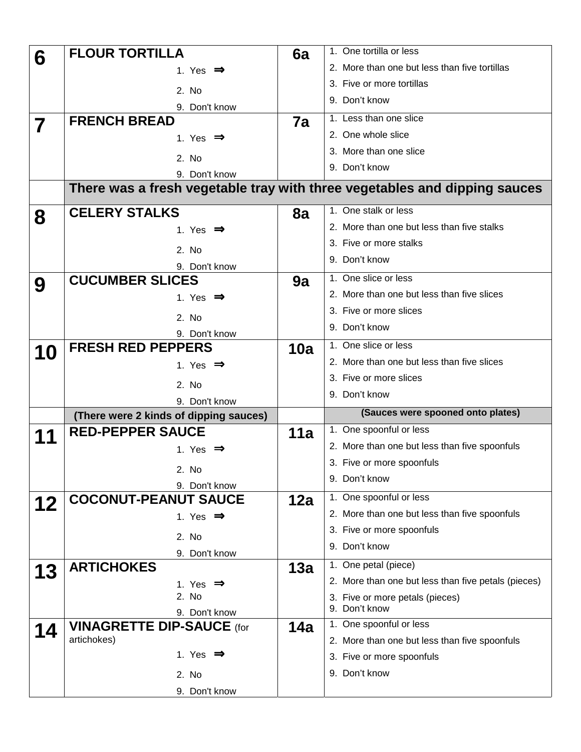| 6  | <b>FLOUR TORTILLA</b>                               | 6a  | 1. One tortilla or less                                                   |  |  |  |
|----|-----------------------------------------------------|-----|---------------------------------------------------------------------------|--|--|--|
|    | 1. Yes $\Rightarrow$                                |     | 2. More than one but less than five tortillas                             |  |  |  |
|    | 2. No                                               |     | 3. Five or more tortillas                                                 |  |  |  |
|    | 9. Don't know                                       |     | 9. Don't know                                                             |  |  |  |
|    | <b>FRENCH BREAD</b>                                 | 7a  | 1. Less than one slice                                                    |  |  |  |
| 7  | 1. Yes $\Rightarrow$                                |     | 2. One whole slice                                                        |  |  |  |
|    |                                                     |     | 3. More than one slice                                                    |  |  |  |
|    | 2. No                                               |     | 9. Don't know                                                             |  |  |  |
|    | 9. Don't know                                       |     | There was a fresh vegetable tray with three vegetables and dipping sauces |  |  |  |
|    |                                                     |     |                                                                           |  |  |  |
| 8  | <b>CELERY STALKS</b>                                | 8a  | 1. One stalk or less                                                      |  |  |  |
|    | 1. Yes $\implies$                                   |     | 2. More than one but less than five stalks                                |  |  |  |
|    | 2. No                                               |     | 3. Five or more stalks                                                    |  |  |  |
|    | 9. Don't know                                       |     | 9. Don't know                                                             |  |  |  |
| 9  | <b>CUCUMBER SLICES</b>                              | 9a  | 1. One slice or less                                                      |  |  |  |
|    | 1. Yes $\Rightarrow$                                |     | 2. More than one but less than five slices                                |  |  |  |
|    | 2. No                                               |     | 3. Five or more slices                                                    |  |  |  |
|    | 9. Don't know                                       |     | 9. Don't know                                                             |  |  |  |
| 10 | <b>FRESH RED PEPPERS</b>                            | 10a | 1. One slice or less                                                      |  |  |  |
|    | 1. Yes $\Rightarrow$                                |     | 2. More than one but less than five slices                                |  |  |  |
|    |                                                     |     | 3. Five or more slices                                                    |  |  |  |
|    |                                                     |     |                                                                           |  |  |  |
|    | 2. No<br>9. Don't know                              |     | 9. Don't know                                                             |  |  |  |
|    | (There were 2 kinds of dipping sauces)              |     | (Sauces were spooned onto plates)                                         |  |  |  |
|    | <b>RED-PEPPER SAUCE</b>                             | 11a | 1. One spoonful or less                                                   |  |  |  |
|    | 1. Yes $\Rightarrow$                                |     | 2. More than one but less than five spoonfuls                             |  |  |  |
|    |                                                     |     | 3. Five or more spoonfuls                                                 |  |  |  |
|    | 2. No                                               |     | 9. Don't know                                                             |  |  |  |
|    | 9. Don't know                                       |     | 1. One spoonful or less                                                   |  |  |  |
| 12 | <b>COCONUT-PEANUT SAUCE</b><br>1. Yes $\Rightarrow$ | 12a | 2. More than one but less than five spoonfuls                             |  |  |  |
|    |                                                     |     | 3. Five or more spoonfuls                                                 |  |  |  |
|    | 2. No                                               |     | 9. Don't know                                                             |  |  |  |
|    | 9. Don't know<br><b>ARTICHOKES</b>                  |     | 1. One petal (piece)                                                      |  |  |  |
| 13 | 1. Yes $\Rightarrow$                                | 13a | 2. More than one but less than five petals (pieces)                       |  |  |  |
|    | 2. No                                               |     | 3. Five or more petals (pieces)                                           |  |  |  |
|    | 9. Don't know                                       |     | 9. Don't know                                                             |  |  |  |
| 14 | <b>VINAGRETTE DIP-SAUCE (for</b>                    | 14a | 1. One spoonful or less                                                   |  |  |  |
|    | artichokes)                                         |     | 2. More than one but less than five spoonfuls                             |  |  |  |
|    | 1. Yes $\Rightarrow$                                |     | 3. Five or more spoonfuls                                                 |  |  |  |
|    | 2. No<br>9. Don't know                              |     | 9. Don't know                                                             |  |  |  |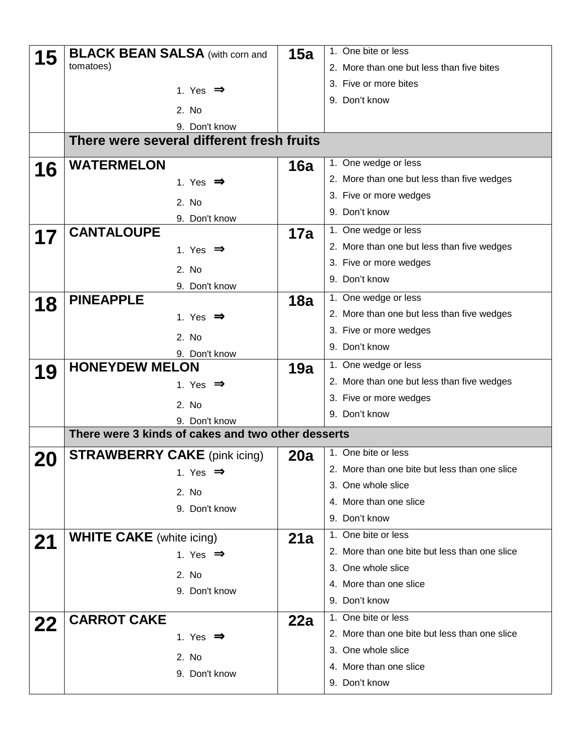| 15        | <b>BLACK BEAN SALSA (with corn and</b>                              | 15a | 1. One bite or less                           |  |  |  |
|-----------|---------------------------------------------------------------------|-----|-----------------------------------------------|--|--|--|
|           | tomatoes)                                                           |     | 2. More than one but less than five bites     |  |  |  |
|           | 1. Yes $\Rightarrow$                                                |     | 3. Five or more bites                         |  |  |  |
|           |                                                                     |     | 9. Don't know                                 |  |  |  |
|           | 2. No                                                               |     |                                               |  |  |  |
|           | 9. Don't know                                                       |     |                                               |  |  |  |
|           | There were several different fresh fruits                           |     |                                               |  |  |  |
| 16        | <b>WATERMELON</b>                                                   | 16a | 1. One wedge or less                          |  |  |  |
|           | 1. Yes $\Rightarrow$                                                |     | 2. More than one but less than five wedges    |  |  |  |
|           | 2. No                                                               |     | 3. Five or more wedges                        |  |  |  |
|           | 9. Don't know                                                       |     | 9. Don't know                                 |  |  |  |
| 17        | <b>CANTALOUPE</b>                                                   | 17a | 1. One wedge or less                          |  |  |  |
|           | 1. Yes $\Rightarrow$                                                |     | 2. More than one but less than five wedges    |  |  |  |
|           | 2. No                                                               |     | 3. Five or more wedges                        |  |  |  |
|           | 9. Don't know                                                       |     | 9. Don't know                                 |  |  |  |
| 18        | <b>PINEAPPLE</b>                                                    | 18a | 1. One wedge or less                          |  |  |  |
|           | 1. Yes $\Rightarrow$                                                |     | 2. More than one but less than five wedges    |  |  |  |
|           | 2. No                                                               |     | 3. Five or more wedges                        |  |  |  |
|           |                                                                     |     | 9. Don't know                                 |  |  |  |
|           | 9. Don't know<br><b>HONEYDEW MELON</b>                              | 19a | 1. One wedge or less                          |  |  |  |
| 19        | 1. Yes $\Rightarrow$                                                |     | 2. More than one but less than five wedges    |  |  |  |
|           |                                                                     |     | 3. Five or more wedges                        |  |  |  |
|           | 2. No                                                               |     | 9. Don't know                                 |  |  |  |
|           | 9. Don't know<br>There were 3 kinds of cakes and two other desserts |     |                                               |  |  |  |
|           |                                                                     |     | 1. One bite or less                           |  |  |  |
| <b>20</b> | <b>STRAWBERRY CAKE</b> (pink icing)                                 | 20a | 2. More than one bite but less than one slice |  |  |  |
|           | 1. Yes $\Rightarrow$                                                |     | 3. One whole slice                            |  |  |  |
|           | 2. No                                                               |     | 4. More than one slice                        |  |  |  |
|           | 9. Don't know                                                       |     | 9. Don't know                                 |  |  |  |
|           |                                                                     |     | 1. One bite or less                           |  |  |  |
| 21        | <b>WHITE CAKE</b> (white icing)                                     | 21a | 2. More than one bite but less than one slice |  |  |  |
|           | 1. Yes $\Rightarrow$                                                |     |                                               |  |  |  |
|           | 2. No                                                               |     | 3. One whole slice                            |  |  |  |
|           | 9. Don't know                                                       |     | 4. More than one slice                        |  |  |  |
|           |                                                                     |     | 9. Don't know                                 |  |  |  |
| 22        | <b>CARROT CAKE</b>                                                  | 22a | 1. One bite or less                           |  |  |  |
|           | 1. Yes $\Rightarrow$                                                |     | 2. More than one bite but less than one slice |  |  |  |
|           | 2. No                                                               |     | 3. One whole slice                            |  |  |  |
|           | 9. Don't know                                                       |     | 4. More than one slice                        |  |  |  |
|           |                                                                     |     | 9. Don't know                                 |  |  |  |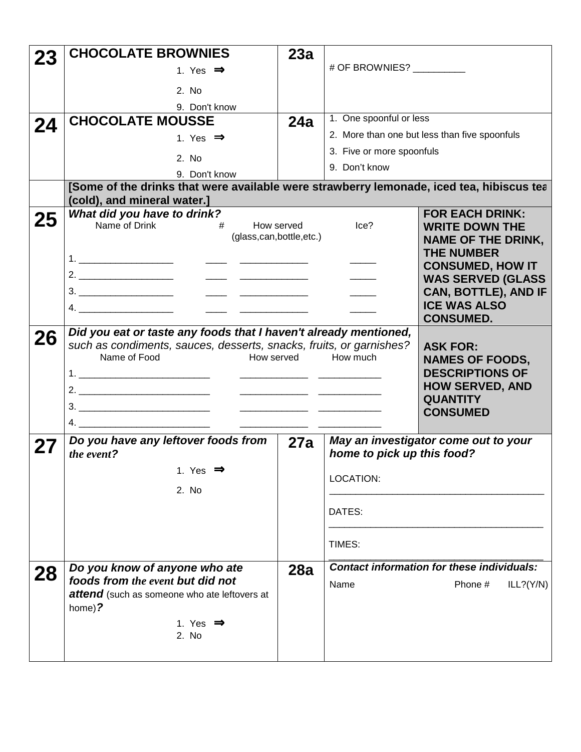|    | <b>CHOCOLATE BROWNIES</b>                                                                                               | 23a                                           |                            |                                                   |  |
|----|-------------------------------------------------------------------------------------------------------------------------|-----------------------------------------------|----------------------------|---------------------------------------------------|--|
|    | 1. Yes $\Rightarrow$                                                                                                    |                                               | # OF BROWNIES? _________   |                                                   |  |
|    | 2. No                                                                                                                   |                                               |                            |                                                   |  |
|    | 9. Don't know                                                                                                           |                                               |                            |                                                   |  |
| 24 | <b>CHOCOLATE MOUSSE</b>                                                                                                 | 24a                                           | 1. One spoonful or less    |                                                   |  |
|    | 1. Yes $\Rightarrow$                                                                                                    |                                               |                            | 2. More than one but less than five spoonfuls     |  |
|    | 2. No                                                                                                                   |                                               | 3. Five or more spoonfuls  |                                                   |  |
|    | 9. Don't know                                                                                                           |                                               | 9. Don't know              |                                                   |  |
|    | [Some of the drinks that were available were strawberry lemonade, iced tea, hibiscus tea<br>(cold), and mineral water.] |                                               |                            |                                                   |  |
|    | What did you have to drink?                                                                                             |                                               |                            | <b>FOR EACH DRINK:</b>                            |  |
| 25 | Name of Drink<br>#                                                                                                      | How served                                    | Ice?                       | <b>WRITE DOWN THE</b>                             |  |
|    | (glass,can,bottle,etc.)                                                                                                 |                                               |                            | <b>NAME OF THE DRINK,</b>                         |  |
|    |                                                                                                                         |                                               |                            | <b>THE NUMBER</b><br><b>CONSUMED, HOW IT</b>      |  |
|    |                                                                                                                         |                                               |                            | <b>WAS SERVED (GLASS</b>                          |  |
|    |                                                                                                                         |                                               |                            | CAN, BOTTLE), AND IF<br><b>ICE WAS ALSO</b>       |  |
|    |                                                                                                                         |                                               |                            | <b>CONSUMED.</b>                                  |  |
| 26 | Did you eat or taste any foods that I haven't already mentioned,                                                        |                                               |                            |                                                   |  |
|    | such as condiments, sauces, desserts, snacks, fruits, or garnishes?<br>Name of Food<br>How served                       |                                               | How much                   | <b>ASK FOR:</b>                                   |  |
|    |                                                                                                                         |                                               |                            | <b>NAMES OF FOODS,</b><br><b>DESCRIPTIONS OF</b>  |  |
|    |                                                                                                                         |                                               |                            | <b>HOW SERVED, AND</b>                            |  |
|    |                                                                                                                         | <u> 1980 - Andrea Andrew Maria (h. 1980).</u> |                            | <b>QUANTITY</b><br><b>CONSUMED</b>                |  |
|    | 4.                                                                                                                      |                                               |                            |                                                   |  |
| 27 | Do you have any leftover foods from                                                                                     | 27a                                           |                            | May an investigator come out to your              |  |
|    | the event?                                                                                                              |                                               | home to pick up this food? |                                                   |  |
|    | 1. Yes $\Rightarrow$                                                                                                    |                                               | LOCATION:                  |                                                   |  |
|    | 2. No                                                                                                                   |                                               |                            |                                                   |  |
|    |                                                                                                                         |                                               | DATES:                     |                                                   |  |
|    |                                                                                                                         |                                               |                            |                                                   |  |
|    |                                                                                                                         |                                               | TIMES:                     |                                                   |  |
| 28 | Do you know of anyone who ate<br>28a                                                                                    |                                               |                            | <b>Contact information for these individuals:</b> |  |
|    | foods from the event but did not                                                                                        |                                               | Name                       | Phone #<br>ILL?(Y/N)                              |  |
|    | attend (such as someone who ate leftovers at<br>home)?                                                                  |                                               |                            |                                                   |  |
|    | 1. Yes $\Rightarrow$                                                                                                    |                                               |                            |                                                   |  |
|    | 2. No                                                                                                                   |                                               |                            |                                                   |  |
|    |                                                                                                                         |                                               |                            |                                                   |  |